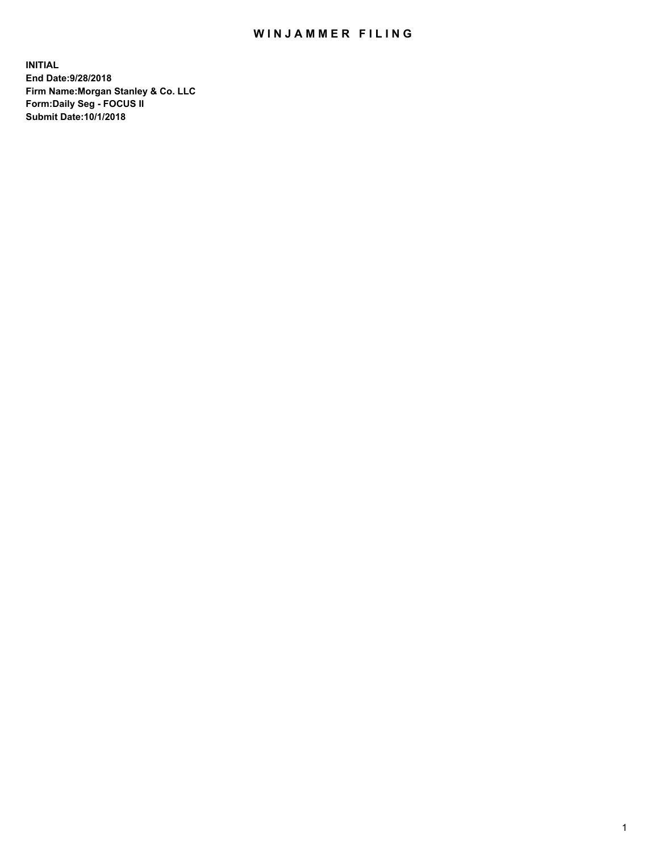## WIN JAMMER FILING

**INITIAL End Date:9/28/2018 Firm Name:Morgan Stanley & Co. LLC Form:Daily Seg - FOCUS II Submit Date:10/1/2018**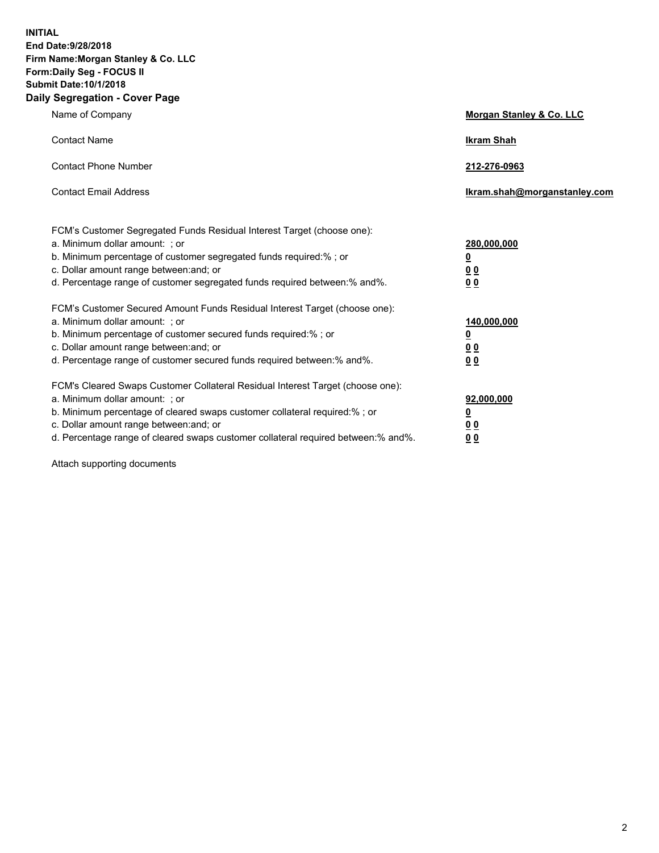**INITIAL End Date:9/28/2018 Firm Name:Morgan Stanley & Co. LLC Form:Daily Seg - FOCUS II Submit Date:10/1/2018 Daily Segregation - Cover Page**

| Name of Company                                                                                                                                                                                                                                                                                                                | Morgan Stanley & Co. LLC                               |
|--------------------------------------------------------------------------------------------------------------------------------------------------------------------------------------------------------------------------------------------------------------------------------------------------------------------------------|--------------------------------------------------------|
| <b>Contact Name</b>                                                                                                                                                                                                                                                                                                            | <b>Ikram Shah</b>                                      |
| <b>Contact Phone Number</b>                                                                                                                                                                                                                                                                                                    | 212-276-0963                                           |
| <b>Contact Email Address</b>                                                                                                                                                                                                                                                                                                   | lkram.shah@morganstanley.com                           |
| FCM's Customer Segregated Funds Residual Interest Target (choose one):<br>a. Minimum dollar amount: ; or<br>b. Minimum percentage of customer segregated funds required:% ; or<br>c. Dollar amount range between: and; or<br>d. Percentage range of customer segregated funds required between:% and%.                         | 280,000,000<br><u>0</u><br><u>0 0</u><br>0 Q           |
| FCM's Customer Secured Amount Funds Residual Interest Target (choose one):<br>a. Minimum dollar amount: ; or<br>b. Minimum percentage of customer secured funds required:%; or<br>c. Dollar amount range between: and; or<br>d. Percentage range of customer secured funds required between:% and%.                            | 140,000,000<br><u>0</u><br><u>00</u><br>0 <sub>0</sub> |
| FCM's Cleared Swaps Customer Collateral Residual Interest Target (choose one):<br>a. Minimum dollar amount: ; or<br>b. Minimum percentage of cleared swaps customer collateral required:% ; or<br>c. Dollar amount range between: and; or<br>d. Percentage range of cleared swaps customer collateral required between:% and%. | 92,000,000<br><u>0</u><br><u>00</u><br>0 <sup>0</sup>  |

Attach supporting documents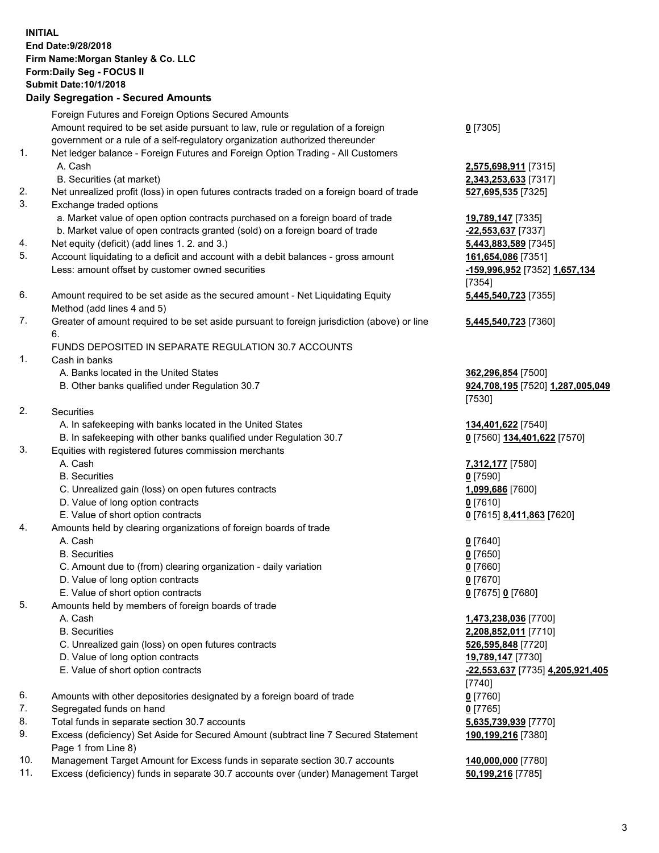## **INITIAL End Date:9/28/2018 Firm Name:Morgan Stanley & Co. LLC Form:Daily Seg - FOCUS II Submit Date:10/1/2018 Daily Segregation - Secured Amounts** Foreign Futures and Foreign Options Secured Amounts Amount required to be set aside pursuant to law, rule or regulation of a foreign government or a rule of a self-regulatory organization authorized thereunder 1. Net ledger balance - Foreign Futures and Foreign Option Trading - All Customers A. Cash **2,575,698,911** [7315] B. Securities (at market) **2,343,253,633** [7317] 2. Net unrealized profit (loss) in open futures contracts traded on a foreign board of trade **527,695,535** [7325] 3. Exchange traded options a. Market value of open option contracts purchased on a foreign board of trade **19,789,147** [7335] b. Market value of open contracts granted (sold) on a foreign board of trade **-22,553,637** [7337] 4. Net equity (deficit) (add lines 1. 2. and 3.) **5,443,883,589** [7345] 5. Account liquidating to a deficit and account with a debit balances - gross amount **161,654,086** [7351] Less: amount offset by customer owned securities **-159,996,952** [7352] **1,657,134** 6. Amount required to be set aside as the secured amount - Net Liquidating Equity Method (add lines 4 and 5) 7. Greater of amount required to be set aside pursuant to foreign jurisdiction (above) or line 6. FUNDS DEPOSITED IN SEPARATE REGULATION 30.7 ACCOUNTS 1. Cash in banks A. Banks located in the United States **362,296,854** [7500] B. Other banks qualified under Regulation 30.7 **924,708,195** [7520] **1,287,005,049** 2. Securities A. In safekeeping with banks located in the United States **134,401,622** [7540] B. In safekeeping with other banks qualified under Regulation 30.7 **0** [7560] **134,401,622** [7570] 3. Equities with registered futures commission merchants A. Cash **7,312,177** [7580] B. Securities **0** [7590] C. Unrealized gain (loss) on open futures contracts **1,099,686** [7600] D. Value of long option contracts **0** [7610] E. Value of short option contracts **0** [7615] **8,411,863** [7620] 4. Amounts held by clearing organizations of foreign boards of trade A. Cash **0** [7640] B. Securities **0** [7650] C. Amount due to (from) clearing organization - daily variation **0** [7660] D. Value of long option contracts **0** [7670] E. Value of short option contracts **0** [7675] **0** [7680] 5. Amounts held by members of foreign boards of trade A. Cash **1,473,238,036** [7700]

- 
- C. Unrealized gain (loss) on open futures contracts **526,595,848** [7720]
- D. Value of long option contracts **19,789,147** [7730]
- E. Value of short option contracts **-22,553,637** [7735] **4,205,921,405**
- 6. Amounts with other depositories designated by a foreign board of trade **0** [7760]
- 7. Segregated funds on hand **0** [7765]
- 8. Total funds in separate section 30.7 accounts **5,635,739,939** [7770]
- 9. Excess (deficiency) Set Aside for Secured Amount (subtract line 7 Secured Statement Page 1 from Line 8)
- 10. Management Target Amount for Excess funds in separate section 30.7 accounts **140,000,000** [7780]
- 11. Excess (deficiency) funds in separate 30.7 accounts over (under) Management Target **50,199,216** [7785]

**0** [7305]

[7354] **5,445,540,723** [7355]

**5,445,540,723** [7360]

[7530]

 B. Securities **2,208,852,011** [7710] [7740] **190,199,216** [7380]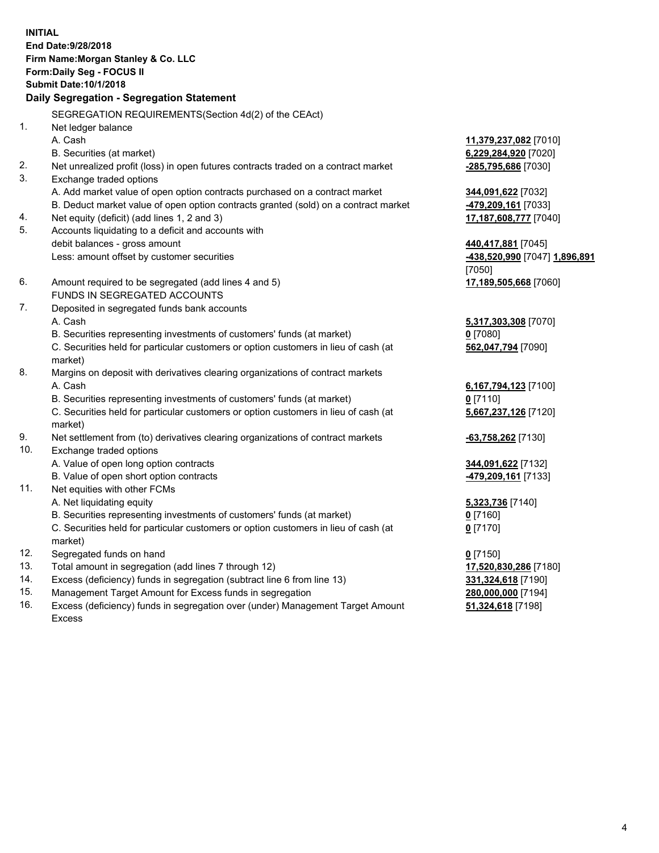**INITIAL End Date:9/28/2018 Firm Name:Morgan Stanley & Co. LLC Form:Daily Seg - FOCUS II Submit Date:10/1/2018 Daily Segregation - Segregation Statement** SEGREGATION REQUIREMENTS(Section 4d(2) of the CEAct) 1. Net ledger balance A. Cash **11,379,237,082** [7010] B. Securities (at market) **6,229,284,920** [7020] 2. Net unrealized profit (loss) in open futures contracts traded on a contract market **-285,795,686** [7030] 3. Exchange traded options A. Add market value of open option contracts purchased on a contract market **344,091,622** [7032] B. Deduct market value of open option contracts granted (sold) on a contract market **-479,209,161** [7033] 4. Net equity (deficit) (add lines 1, 2 and 3) **17,187,608,777** [7040] 5. Accounts liquidating to a deficit and accounts with debit balances - gross amount **440,417,881** [7045] Less: amount offset by customer securities **-438,520,990** [7047] **1,896,891** [7050] 6. Amount required to be segregated (add lines 4 and 5) **17,189,505,668** [7060] FUNDS IN SEGREGATED ACCOUNTS 7. Deposited in segregated funds bank accounts A. Cash **5,317,303,308** [7070] B. Securities representing investments of customers' funds (at market) **0** [7080] C. Securities held for particular customers or option customers in lieu of cash (at market) **562,047,794** [7090] 8. Margins on deposit with derivatives clearing organizations of contract markets A. Cash **6,167,794,123** [7100] B. Securities representing investments of customers' funds (at market) **0** [7110] C. Securities held for particular customers or option customers in lieu of cash (at market) **5,667,237,126** [7120] 9. Net settlement from (to) derivatives clearing organizations of contract markets **-63,758,262** [7130] 10. Exchange traded options A. Value of open long option contracts **344,091,622** [7132] B. Value of open short option contracts **-479,209,161** [7133] 11. Net equities with other FCMs A. Net liquidating equity **5,323,736** [7140] B. Securities representing investments of customers' funds (at market) **0** [7160] C. Securities held for particular customers or option customers in lieu of cash (at market) **0** [7170] 12. Segregated funds on hand **0** [7150] 13. Total amount in segregation (add lines 7 through 12) **17,520,830,286** [7180] 14. Excess (deficiency) funds in segregation (subtract line 6 from line 13) **331,324,618** [7190] 15. Management Target Amount for Excess funds in segregation **280,000,000** [7194]

16. Excess (deficiency) funds in segregation over (under) Management Target Amount Excess

**51,324,618** [7198]